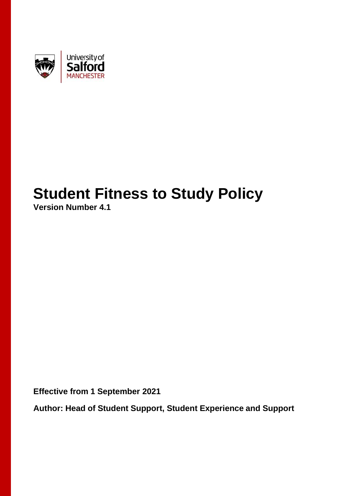

# **Student Fitness to Study Policy**

**Version Number 4.1**

**Effective from 1 September 2021**

**Author: Head of Student Support, Student Experience and Support**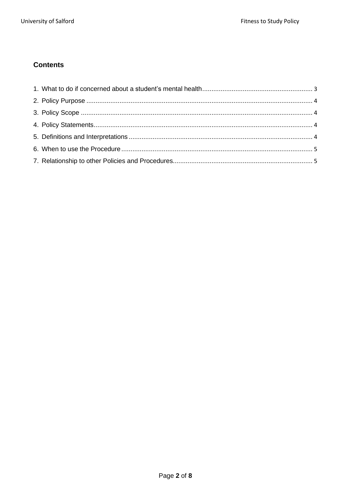# **Contents**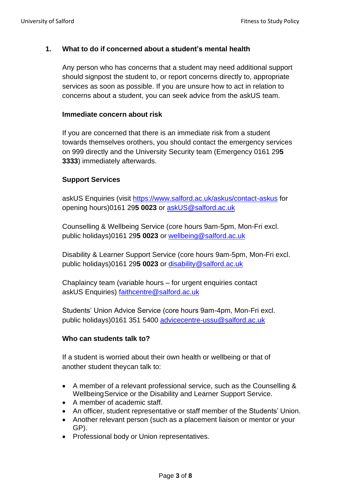## <span id="page-2-0"></span>**1. What to do if concerned about a student's mental health**

Any person who has concerns that a student may need additional support should signpost the student to, or report concerns directly to, appropriate services as soon as possible. If you are unsure how to act in relation to concerns about a student, you can seek advice from the askUS team.

#### **Immediate concern about risk**

If you are concerned that there is an immediate risk from a student towards themselves orothers, you should contact the emergency services on 999 directly and the University Security team (Emergency 0161 29**5 3333**) immediately afterwards.

#### **Support Services**

askUS Enquiries (visit<https://www.salford.ac.uk/askus/contact-askus> for opening hours)0161 29**5 0023** or [askUS@salford.ac.uk](mailto:askUS@salford.ac.uk)

Counselling & Wellbeing Service (core hours 9am-5pm, Mon-Fri excl. public holidays)0161 29**5 0023** or [wellbeing@salford.ac.uk](mailto:wellbeing@salford.ac.uk)

Disability & Learner Support Service (core hours 9am-5pm, Mon-Fri excl. public holidays)0161 29**5 0023** or [disability@salford.ac.uk](mailto:disability@salford.ac.uk)

Chaplaincy team (variable hours – for urgent enquiries contact askUS Enquiries) [faithcentre@salford.ac.uk](mailto:faithcentre@salford.ac.uk)

Students' Union Advice Service (core hours 9am-4pm, Mon-Fri excl. public holidays)0161 351 5400 [advicecentre-ussu@salford.ac.uk](mailto:advicecentre-ussu@salford.ac.uk)

#### **Who can students talk to?**

If a student is worried about their own health or wellbeing or that of another student theycan talk to:

- A member of a relevant professional service, such as the Counselling & Wellbeing Service or the Disability and Learner Support Service.
- A member of academic staff.
- An officer, student representative or staff member of the Students' Union.
- Another relevant person (such as a placement liaison or mentor or your GP).
- Professional body or Union representatives.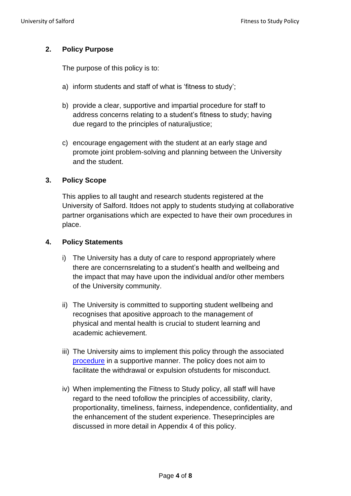# <span id="page-3-0"></span>**2. Policy Purpose**

The purpose of this policy is to:

- a) inform students and staff of what is 'fitness to study';
- b) provide a clear, supportive and impartial procedure for staff to address concerns relating to a student's fitness to study; having due regard to the principles of naturaljustice;
- c) encourage engagement with the student at an early stage and promote joint problem-solving and planning between the University and the student.

# <span id="page-3-1"></span>**3. Policy Scope**

This applies to all taught and research students registered at the University of Salford. Itdoes not apply to students studying at collaborative partner organisations which are expected to have their own procedures in place.

#### <span id="page-3-2"></span>**4. Policy Statements**

- i) The University has a duty of care to respond appropriately where there are concernsrelating to a student's health and wellbeing and the impact that may have upon the individual and/or other members of the University community.
- ii) The University is committed to supporting student wellbeing and recognises that apositive approach to the management of physical and mental health is crucial to student learning and academic achievement.
- iii) The University aims to implement this policy through the associated [procedure](https://teams.microsoft.com/l/file/9BBFCC5C-54E0-4869-A17B-6EA4D8DA1CF5?tenantId=65b52940-f4b6-41bd-833d-3033ecbcf6e1&fileType=docx&objectUrl=https%3A%2F%2Ftestlivesalfordac.sharepoint.com%2Fsites%2FFitnesstoStudySupporttoStudy%2FShared%20Documents%2FGeneral%2FFitness%20to%20Study%20Policy%20V5-0%20April%202019.docx&baseUrl=https%3A%2F%2Ftestlivesalfordac.sharepoint.com%2Fsites%2FFitnesstoStudySupporttoStudy&serviceName=teams&threadId=19%3Aa2a5280b47e3442a889bcf4e2f443225%40thread.skype&groupId=f43fe161-1f2d-4f61-8fa8-83adb84d2370) in a supportive manner. The policy does not aim to facilitate the withdrawal or expulsion ofstudents for misconduct.
- iv) When implementing the Fitness to Study policy, all staff will have regard to the need tofollow the principles of accessibility, clarity, proportionality, timeliness, fairness, independence, confidentiality, and the enhancement of the student experience. Theseprinciples are discussed in more detail in Appendix 4 of this policy.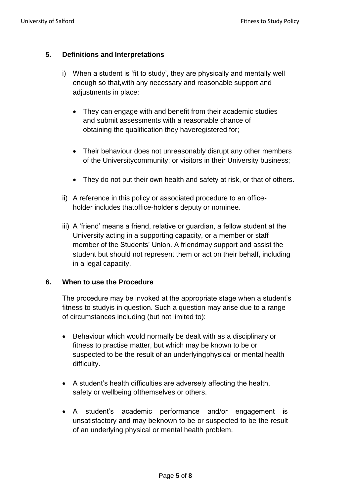# <span id="page-4-0"></span>**5. Definitions and Interpretations**

- i) When a student is 'fit to study', they are physically and mentally well enough so that,with any necessary and reasonable support and adjustments in place:
	- They can engage with and benefit from their academic studies and submit assessments with a reasonable chance of obtaining the qualification they haveregistered for;
	- Their behaviour does not unreasonably disrupt any other members of the Universitycommunity; or visitors in their University business;
	- They do not put their own health and safety at risk, or that of others.
- ii) A reference in this policy or associated procedure to an officeholder includes thatoffice-holder's deputy or nominee.
- iii) A 'friend' means a friend, relative or guardian, a fellow student at the University acting in a supporting capacity, or a member or staff member of the Students' Union. A friendmay support and assist the student but should not represent them or act on their behalf, including in a legal capacity.

#### <span id="page-4-1"></span>**6. When to use the Procedure**

The procedure may be invoked at the appropriate stage when a student's fitness to studyis in question. Such a question may arise due to a range of circumstances including (but not limited to):

- Behaviour which would normally be dealt with as a disciplinary or fitness to practise matter, but which may be known to be or suspected to be the result of an underlyingphysical or mental health difficulty.
- A student's health difficulties are adversely affecting the health, safety or wellbeing ofthemselves or others.
- A student's academic performance and/or engagement is unsatisfactory and may beknown to be or suspected to be the result of an underlying physical or mental health problem.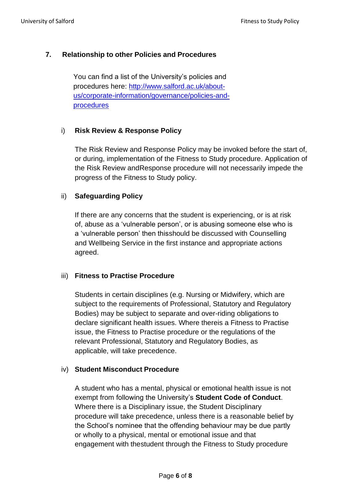# <span id="page-5-0"></span>**7. Relationship to other Policies and Procedures**

You can find a list of the University's policies and procedures here: [http://www.salford.ac.uk/about](http://www.salford.ac.uk/about-us/corporate-information/governance/policies-and-procedures)[us/corporate-information/governance/policies-and](http://www.salford.ac.uk/about-us/corporate-information/governance/policies-and-procedures)[procedures](http://www.salford.ac.uk/about-us/corporate-information/governance/policies-and-procedures)

# i) **Risk Review & Response Policy**

The Risk Review and Response Policy may be invoked before the start of, or during, implementation of the Fitness to Study procedure. Application of the Risk Review andResponse procedure will not necessarily impede the progress of the Fitness to Study policy.

# ii) **Safeguarding Policy**

If there are any concerns that the student is experiencing, or is at risk of, abuse as a 'vulnerable person', or is abusing someone else who is a 'vulnerable person' then thisshould be discussed with Counselling and Wellbeing Service in the first instance and appropriate actions agreed.

#### iii) **Fitness to Practise Procedure**

Students in certain disciplines (e.g. Nursing or Midwifery, which are subject to the requirements of Professional, Statutory and Regulatory Bodies) may be subject to separate and over-riding obligations to declare significant health issues. Where thereis a Fitness to Practise issue, the Fitness to Practise procedure or the regulations of the relevant Professional, Statutory and Regulatory Bodies, as applicable, will take precedence.

#### iv) **Student Misconduct Procedure**

A student who has a mental, physical or emotional health issue is not exempt from following the University's **Student Code of Conduct**. Where there is a Disciplinary issue, the Student Disciplinary procedure will take precedence, unless there is a reasonable belief by the School's nominee that the offending behaviour may be due partly or wholly to a physical, mental or emotional issue and that engagement with thestudent through the Fitness to Study procedure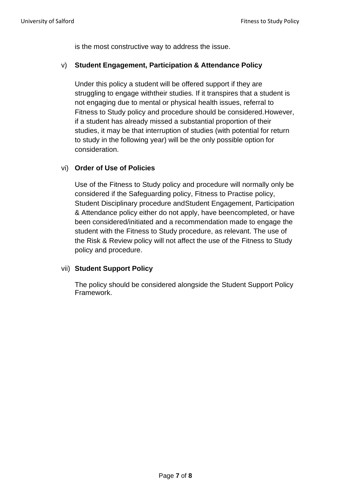is the most constructive way to address the issue.

#### v) **Student Engagement, Participation & Attendance Policy**

Under this policy a student will be offered support if they are struggling to engage withtheir studies. If it transpires that a student is not engaging due to mental or physical health issues, referral to Fitness to Study policy and procedure should be considered.However, if a student has already missed a substantial proportion of their studies, it may be that interruption of studies (with potential for return to study in the following year) will be the only possible option for consideration.

#### vi) **Order of Use of Policies**

Use of the Fitness to Study policy and procedure will normally only be considered if the Safeguarding policy, Fitness to Practise policy, Student Disciplinary procedure andStudent Engagement, Participation & Attendance policy either do not apply, have beencompleted, or have been considered/initiated and a recommendation made to engage the student with the Fitness to Study procedure, as relevant. The use of the Risk & Review policy will not affect the use of the Fitness to Study policy and procedure.

#### vii) **Student Support Policy**

The policy should be considered alongside the Student Support Policy Framework.